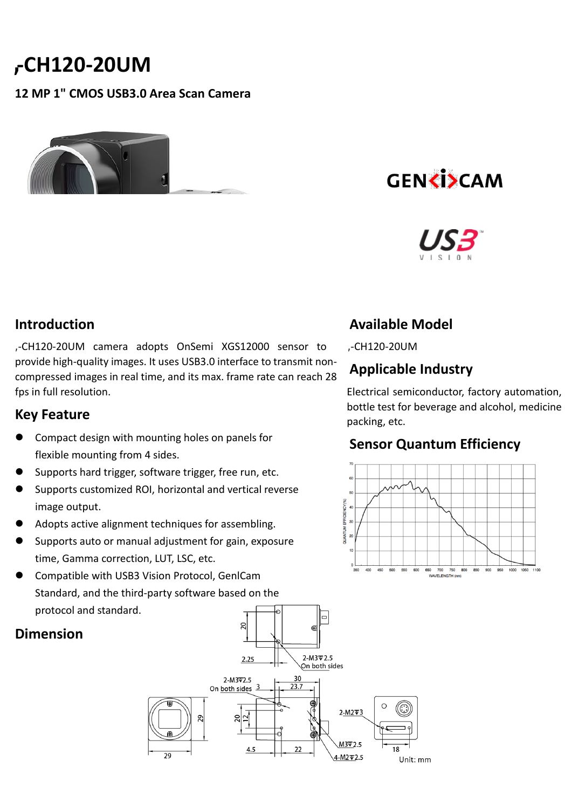# **-CH120-20UM**

#### **12 MP 1" CMOS USB3.0 Area Scan Camera**

# **GENKISCAM**



### **Introduction**

**,**-CH120-20UM camera adopts OnSemi XGS12000 sensor to provide high-quality images. It uses USB3.0 interface to transmit noncompressed images in real time, and its max. frame rate can reach 28 fps in full resolution.

#### **Key Feature**

- Compact design with mounting holes on panels for flexible mounting from 4 sides.
- Supports hard trigger, software trigger, free run, etc.
- Supports customized ROI, horizontal and vertical reverse image output.
- Adopts active alignment techniques for assembling.
- Supports auto or manual adjustment for gain, exposure time, Gamma correction, LUT, LSC, etc.
- Compatible with USB3 Vision Protocol, GenlCam Standard, and the third-party software based on the protocol and standard.

# **Dimension**

## **Available Model**

**,**-CH120-20UM

### **Applicable Industry**

Electrical semiconductor, factory automation, bottle test for beverage and alcohol, medicine packing, etc.

### **Sensor Quantum Efficiency**